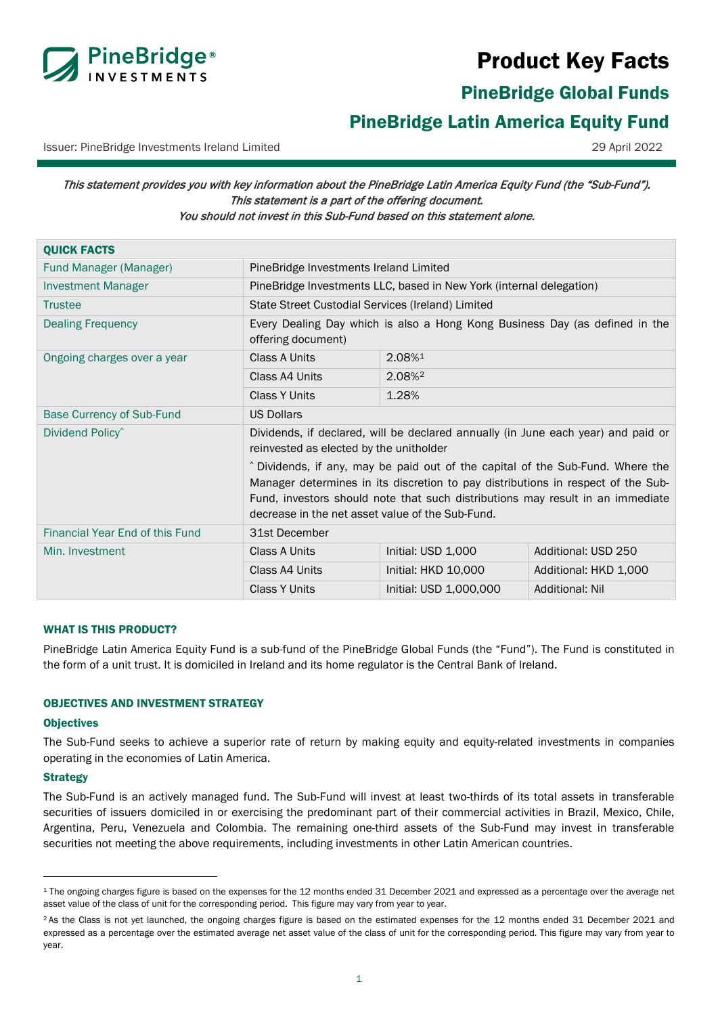

# Product Key Facts

PineBridge Global Funds

<span id="page-0-0"></span>PineBridge Latin America Equity Fund

Issuer: PineBridge Investments Ireland Limited 29 April 2022

# This statement provides you with key information about the PineBridge Latin America Equity Fund (the "Sub-Fund"). This statement is a part of the offering document. You should not invest in this Sub-Fund based on this statement alone.

| <b>QUICK FACTS</b>              |                                                                                                                                                                                                                                                                                                          |                        |                        |
|---------------------------------|----------------------------------------------------------------------------------------------------------------------------------------------------------------------------------------------------------------------------------------------------------------------------------------------------------|------------------------|------------------------|
| Fund Manager (Manager)          | PineBridge Investments Ireland Limited                                                                                                                                                                                                                                                                   |                        |                        |
| <b>Investment Manager</b>       | PineBridge Investments LLC, based in New York (internal delegation)                                                                                                                                                                                                                                      |                        |                        |
| <b>Trustee</b>                  | State Street Custodial Services (Ireland) Limited                                                                                                                                                                                                                                                        |                        |                        |
| <b>Dealing Frequency</b>        | Every Dealing Day which is also a Hong Kong Business Day (as defined in the<br>offering document)                                                                                                                                                                                                        |                        |                        |
| Ongoing charges over a year     | <b>Class A Units</b>                                                                                                                                                                                                                                                                                     | 2.08%1                 |                        |
|                                 | Class A4 Units                                                                                                                                                                                                                                                                                           | 2.08% <sup>2</sup>     |                        |
|                                 | <b>Class Y Units</b>                                                                                                                                                                                                                                                                                     | 1.28%                  |                        |
| Base Currency of Sub-Fund       | <b>US Dollars</b>                                                                                                                                                                                                                                                                                        |                        |                        |
| Dividend Policy <sup>^</sup>    | Dividends, if declared, will be declared annually (in June each year) and paid or<br>reinvested as elected by the unitholder                                                                                                                                                                             |                        |                        |
|                                 | ^ Dividends, if any, may be paid out of the capital of the Sub-Fund. Where the<br>Manager determines in its discretion to pay distributions in respect of the Sub-<br>Fund, investors should note that such distributions may result in an immediate<br>decrease in the net asset value of the Sub-Fund. |                        |                        |
| Financial Year End of this Fund | 31st December                                                                                                                                                                                                                                                                                            |                        |                        |
| Min. Investment                 | Class A Units                                                                                                                                                                                                                                                                                            | Initial: USD 1,000     | Additional: USD 250    |
|                                 | Class A4 Units                                                                                                                                                                                                                                                                                           | Initial: HKD 10,000    | Additional: HKD 1,000  |
|                                 | <b>Class Y Units</b>                                                                                                                                                                                                                                                                                     | Initial: USD 1,000,000 | <b>Additional: Nil</b> |

# WHAT IS THIS PRODUCT?

PineBridge Latin America Equity Fund is a sub-fund of the PineBridge Global Funds (the "Fund"). The Fund is constituted in the form of a unit trust. It is domiciled in Ireland and its home regulator is the Central Bank of Ireland.

# OBJECTIVES AND INVESTMENT STRATEGY

## **Objectives**

The Sub-Fund seeks to achieve a superior rate of return by making equity and equity-related investments in companies operating in the economies of Latin America.

## **Strategy**

The Sub-Fund is an actively managed fund. The Sub-Fund will invest at least two-thirds of its total assets in transferable securities of issuers domiciled in or exercising the predominant part of their commercial activities in Brazil, Mexico, Chile, Argentina, Peru, Venezuela and Colombia. The remaining one-third assets of the Sub-Fund may invest in transferable securities not meeting the above requirements, including investments in other Latin American countries.

<span id="page-0-1"></span><sup>&</sup>lt;sup>1</sup> The ongoing charges figure is based on the expenses for the 12 months ended 31 December 2021 and expressed as a percentage over the average net asset value of the class of unit for the corresponding period. This figure may vary from year to year.

<span id="page-0-2"></span><sup>&</sup>lt;sup>2</sup> As the Class is not yet launched, the ongoing charges figure is based on the estimated expenses for the 12 months ended 31 December 2021 and expressed as a percentage over the estimated average net asset value of the class of unit for the corresponding period. This figure may vary from year to year.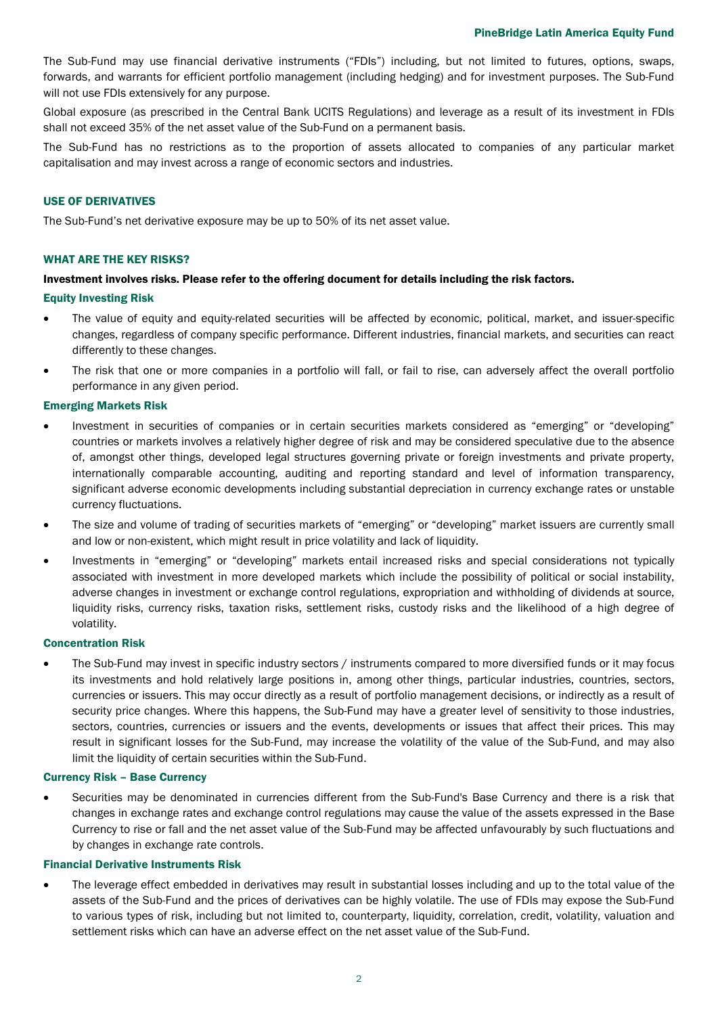The Sub-Fund may use financial derivative instruments ("FDIs") including, but not limited to futures, options, swaps, forwards, and warrants for efficient portfolio management (including hedging) and for investment purposes. The Sub-Fund will not use FDIs extensively for any purpose.

Global exposure (as prescribed in the Central Bank UCITS Regulations) and leverage as a result of its investment in FDIs shall not exceed 35% of the net asset value of the Sub-Fund on a permanent basis.

The Sub-Fund has no restrictions as to the proportion of assets allocated to companies of any particular market capitalisation and may invest across a range of economic sectors and industries.

## USE OF DERIVATIVES

The Sub-Fund's net derivative exposure may be up to 50% of its net asset value.

## WHAT ARE THE KEY RISKS?

## Investment involves risks. Please refer to the offering document for details including the risk factors.

#### Equity Investing Risk

- The value of equity and equity-related securities will be affected by economic, political, market, and issuer-specific changes, regardless of company specific performance. Different industries, financial markets, and securities can react differently to these changes.
- The risk that one or more companies in a portfolio will fall, or fail to rise, can adversely affect the overall portfolio performance in any given period.

#### Emerging Markets Risk

- Investment in securities of companies or in certain securities markets considered as "emerging" or "developing" countries or markets involves a relatively higher degree of risk and may be considered speculative due to the absence of, amongst other things, developed legal structures governing private or foreign investments and private property, internationally comparable accounting, auditing and reporting standard and level of information transparency, significant adverse economic developments including substantial depreciation in currency exchange rates or unstable currency fluctuations.
- The size and volume of trading of securities markets of "emerging" or "developing" market issuers are currently small and low or non-existent, which might result in price volatility and lack of liquidity.
- Investments in "emerging" or "developing" markets entail increased risks and special considerations not typically associated with investment in more developed markets which include the possibility of political or social instability, adverse changes in investment or exchange control regulations, expropriation and withholding of dividends at source, liquidity risks, currency risks, taxation risks, settlement risks, custody risks and the likelihood of a high degree of volatility.

## Concentration Risk

The Sub-Fund may invest in specific industry sectors / instruments compared to more diversified funds or it may focus its investments and hold relatively large positions in, among other things, particular industries, countries, sectors, currencies or issuers. This may occur directly as a result of portfolio management decisions, or indirectly as a result of security price changes. Where this happens, the Sub-Fund may have a greater level of sensitivity to those industries, sectors, countries, currencies or issuers and the events, developments or issues that affect their prices. This may result in significant losses for the Sub-Fund, may increase the volatility of the value of the Sub-Fund, and may also limit the liquidity of certain securities within the Sub-Fund.

#### Currency Risk – Base Currency

• Securities may be denominated in currencies different from the Sub-Fund's Base Currency and there is a risk that changes in exchange rates and exchange control regulations may cause the value of the assets expressed in the Base Currency to rise or fall and the net asset value of the Sub-Fund may be affected unfavourably by such fluctuations and by changes in exchange rate controls.

#### Financial Derivative Instruments Risk

• The leverage effect embedded in derivatives may result in substantial losses including and up to the total value of the assets of the Sub-Fund and the prices of derivatives can be highly volatile. The use of FDIs may expose the Sub-Fund to various types of risk, including but not limited to, counterparty, liquidity, correlation, credit, volatility, valuation and settlement risks which can have an adverse effect on the net asset value of the Sub-Fund.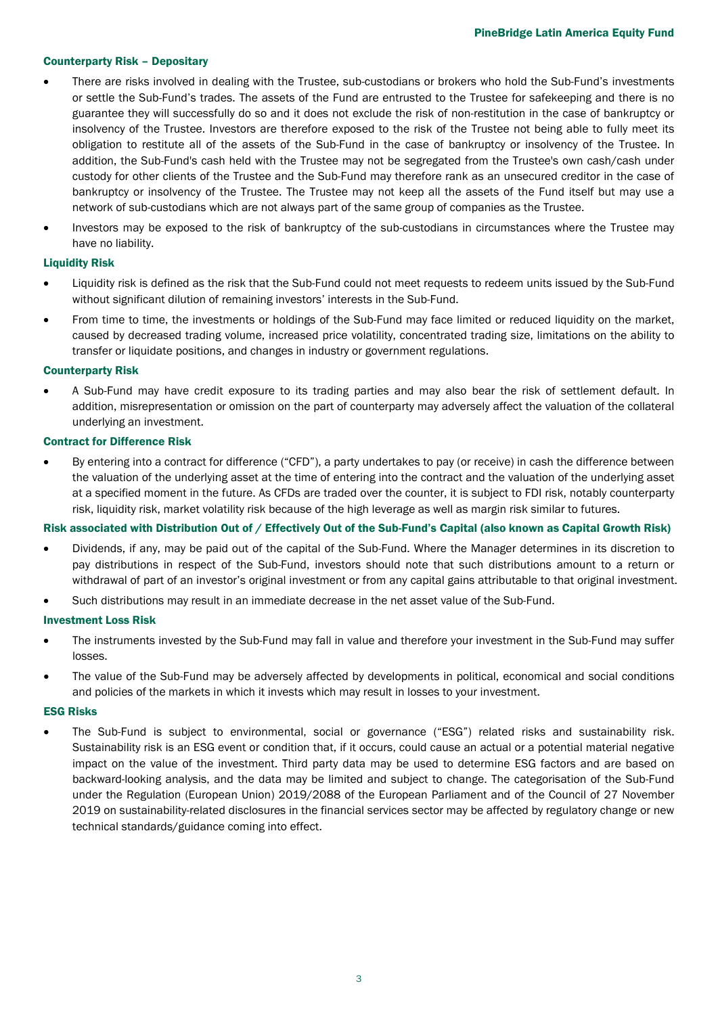## Counterparty Risk – Depositary

- There are risks involved in dealing with the Trustee, sub-custodians or brokers who hold the Sub-Fund's investments or settle the Sub-Fund's trades. The assets of the Fund are entrusted to the Trustee for safekeeping and there is no guarantee they will successfully do so and it does not exclude the risk of non-restitution in the case of bankruptcy or insolvency of the Trustee. Investors are therefore exposed to the risk of the Trustee not being able to fully meet its obligation to restitute all of the assets of the Sub-Fund in the case of bankruptcy or insolvency of the Trustee. In addition, the Sub-Fund's cash held with the Trustee may not be segregated from the Trustee's own cash/cash under custody for other clients of the Trustee and the Sub-Fund may therefore rank as an unsecured creditor in the case of bankruptcy or insolvency of the Trustee. The Trustee may not keep all the assets of the Fund itself but may use a network of sub-custodians which are not always part of the same group of companies as the Trustee.
- Investors may be exposed to the risk of bankruptcy of the sub-custodians in circumstances where the Trustee may have no liability.

## Liquidity Risk

- Liquidity risk is defined as the risk that the Sub-Fund could not meet requests to redeem units issued by the Sub-Fund without significant dilution of remaining investors' interests in the Sub-Fund.
- From time to time, the investments or holdings of the Sub-Fund may face limited or reduced liquidity on the market, caused by decreased trading volume, increased price volatility, concentrated trading size, limitations on the ability to transfer or liquidate positions, and changes in industry or government regulations.

## Counterparty Risk

• A Sub-Fund may have credit exposure to its trading parties and may also bear the risk of settlement default. In addition, misrepresentation or omission on the part of counterparty may adversely affect the valuation of the collateral underlying an investment.

# Contract for Difference Risk

• By entering into a contract for difference ("CFD"), a party undertakes to pay (or receive) in cash the difference between the valuation of the underlying asset at the time of entering into the contract and the valuation of the underlying asset at a specified moment in the future. As CFDs are traded over the counter, it is subject to FDI risk, notably counterparty risk, liquidity risk, market volatility risk because of the high leverage as well as margin risk similar to futures.

# Risk associated with Distribution Out of / Effectively Out of the Sub-Fund's Capital (also known as Capital Growth Risk)

- Dividends, if any, may be paid out of the capital of the Sub-Fund. Where the Manager determines in its discretion to pay distributions in respect of the Sub-Fund, investors should note that such distributions amount to a return or withdrawal of part of an investor's original investment or from any capital gains attributable to that original investment.
- Such distributions may result in an immediate decrease in the net asset value of the Sub-Fund.

# Investment Loss Risk

- The instruments invested by the Sub-Fund may fall in value and therefore your investment in the Sub-Fund may suffer losses.
- The value of the Sub-Fund may be adversely affected by developments in political, economical and social conditions and policies of the markets in which it invests which may result in losses to your investment.

## ESG Risks

• The Sub-Fund is subject to environmental, social or governance ("ESG") related risks and sustainability risk. Sustainability risk is an ESG event or condition that, if it occurs, could cause an actual or a potential material negative impact on the value of the investment. Third party data may be used to determine ESG factors and are based on backward-looking analysis, and the data may be limited and subject to change. The categorisation of the Sub-Fund under the Regulation (European Union) 2019/2088 of the European Parliament and of the Council of 27 November 2019 on sustainability-related disclosures in the financial services sector may be affected by regulatory change or new technical standards/guidance coming into effect.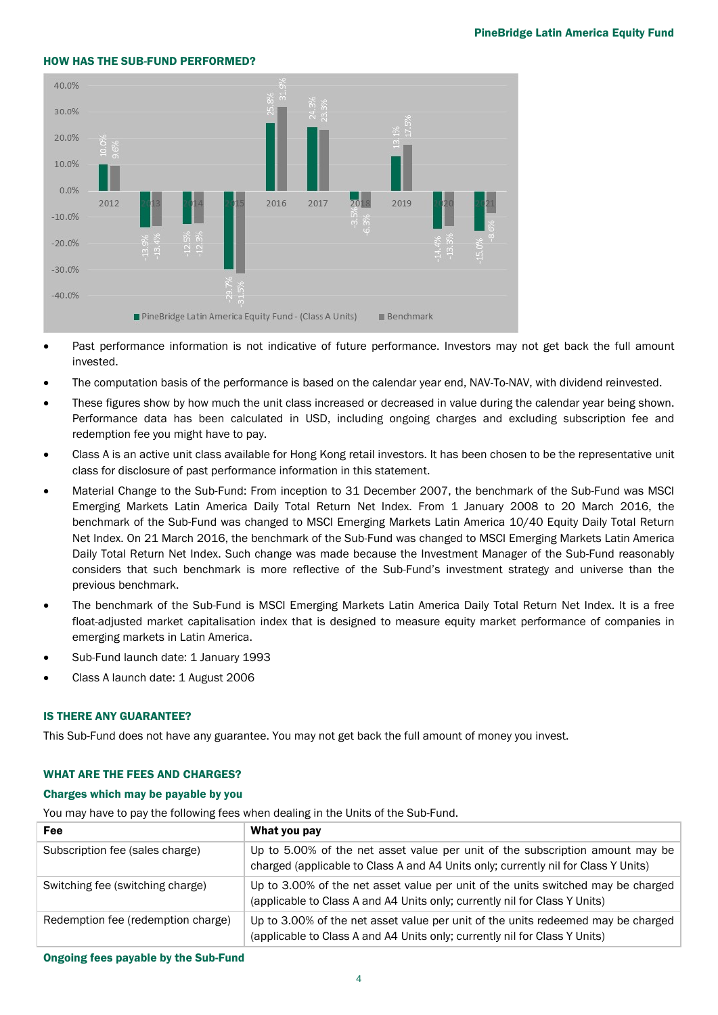## HOW HAS THE SUB-FUND PERFORMED?



- Past performance information is not indicative of future performance. Investors may not get back the full amount invested.
- The computation basis of the performance is based on the calendar year end, NAV-To-NAV, with dividend reinvested.
- These figures show by how much the unit class increased or decreased in value during the calendar year being shown. Performance data has been calculated in USD, including ongoing charges and excluding subscription fee and redemption fee you might have to pay.
- Class A is an active unit class available for Hong Kong retail investors. It has been chosen to be the representative unit class for disclosure of past performance information in this statement.
- Material Change to the Sub-Fund: From inception to 31 December 2007, the benchmark of the Sub-Fund was MSCI Emerging Markets Latin America Daily Total Return Net Index. From 1 January 2008 to 20 March 2016, the benchmark of the Sub-Fund was changed to MSCI Emerging Markets Latin America 10/40 Equity Daily Total Return Net Index. On 21 March 2016, the benchmark of the Sub-Fund was changed to MSCI Emerging Markets Latin America Daily Total Return Net Index. Such change was made because the Investment Manager of the Sub-Fund reasonably considers that such benchmark is more reflective of the Sub-Fund's investment strategy and universe than the previous benchmark.
- The benchmark of the Sub-Fund is MSCI Emerging Markets Latin America Daily Total Return Net Index. It is a free float-adjusted market capitalisation index that is designed to measure equity market performance of companies in emerging markets in Latin America.
- Sub-Fund launch date: 1 January 1993
- Class A launch date: 1 August 2006

## IS THERE ANY GUARANTEE?

This Sub-Fund does not have any guarantee. You may not get back the full amount of money you invest.

## WHAT ARE THE FEES AND CHARGES?

## Charges which may be payable by you

You may have to pay the following fees when dealing in the Units of the Sub-Fund.

| Fee                                | What you pay                                                                                                                                                        |
|------------------------------------|---------------------------------------------------------------------------------------------------------------------------------------------------------------------|
| Subscription fee (sales charge)    | Up to 5.00% of the net asset value per unit of the subscription amount may be<br>charged (applicable to Class A and A4 Units only; currently nil for Class Y Units) |
| Switching fee (switching charge)   | Up to 3.00% of the net asset value per unit of the units switched may be charged<br>(applicable to Class A and A4 Units only; currently nil for Class Y Units)      |
| Redemption fee (redemption charge) | Up to 3.00% of the net asset value per unit of the units redeemed may be charged<br>(applicable to Class A and A4 Units only; currently nil for Class Y Units)      |

Ongoing fees payable by the Sub-Fund